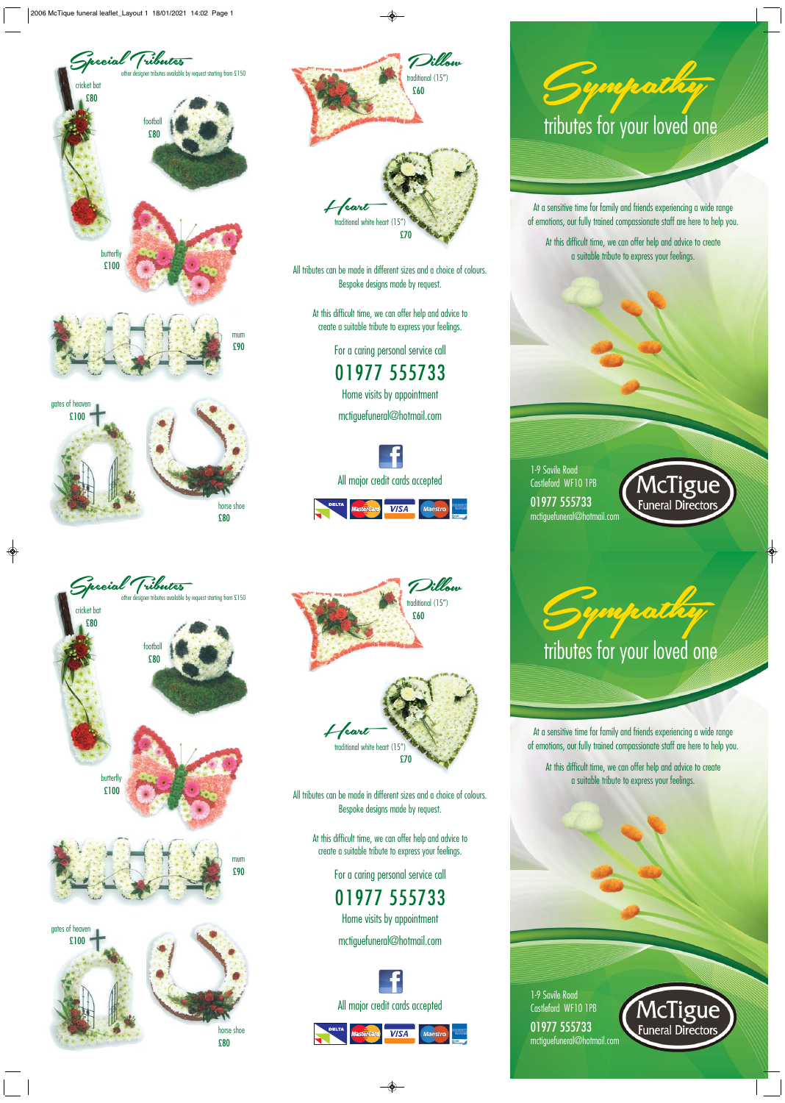



All tributes can be made in different sizes and a choice of colours. Bespoke designs made by request.

> At this difficult time, we can offer help and advice to create a suitable tribute to express your feelings.

> > For a caring personal service call 01977 555733 Home visits by appointment

mctiguefuneral@hotmail.com







At a sensitive time for family and friends experiencing a wide range of emotions, our fully trained compassionate staff are here to help you.

At this difficult time, we can offer help and advice to create a suitable tribute to express your feelings.

1-9 Savile Road Castleford WF10 1PB 01977 555733 mctiguefuneral@hotmail.com